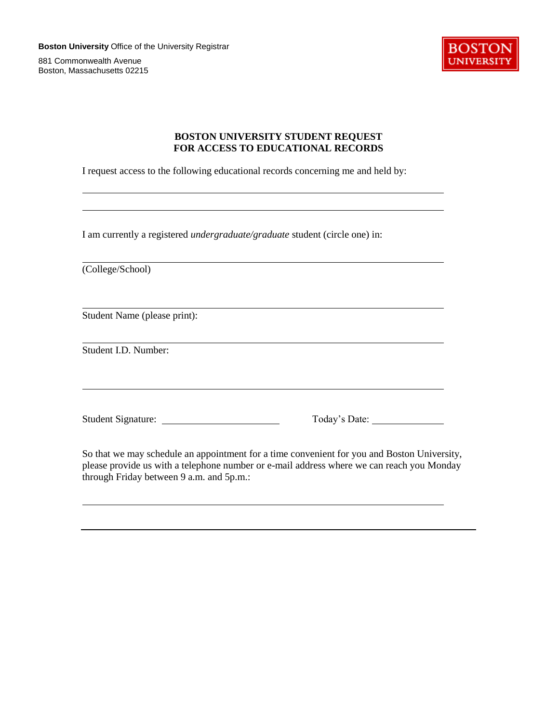**Boston University** Office of the University Registrar

881 Commonwealth Avenue Boston, Massachusetts 02215



l

## **BOSTON UNIVERSITY STUDENT REQUEST FOR ACCESS TO EDUCATIONAL RECORDS**

I request access to the following educational records concerning me and held by:

I am currently a registered *undergraduate/graduate* student (circle one) in:

(College/School)

Student Name (please print):

Student I.D. Number:

Student Signature: Today's Date:

So that we may schedule an appointment for a time convenient for you and Boston University, please provide us with a telephone number or e-mail address where we can reach you Monday through Friday between 9 a.m. and 5p.m.: